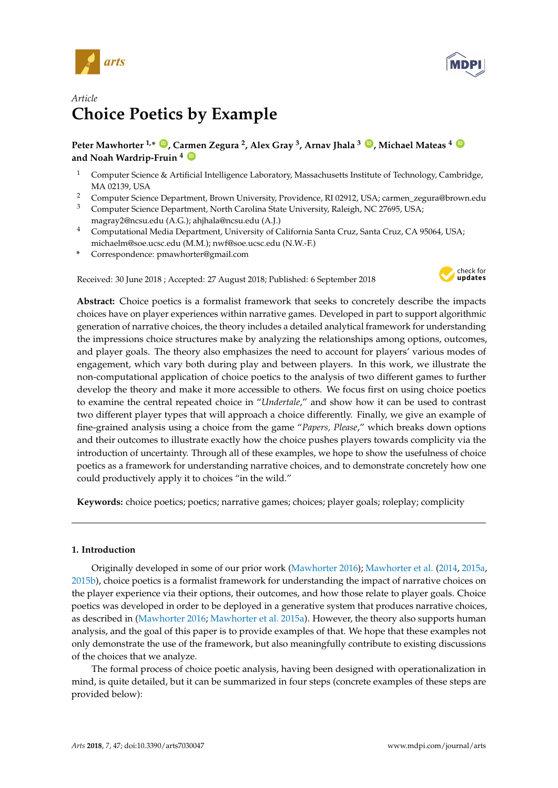



# *Article* **Choice Poetics by Example**

**Peter Mawhorter 1,\* [ID](https://orcid.org/0000-0001-7821-1973) , Carmen Zegura <sup>2</sup> , Alex Gray <sup>3</sup> , Arnav Jhala <sup>3</sup> [ID](https://orcid.org/0000-0003-3874-1720) , Michael Mateas <sup>4</sup> [ID](https://orcid.org/0000-0002-1897-6293) and Noah Wardrip-Fruin <sup>4</sup> [ID](https://orcid.org/0000-0003-1964-7624)**

- <sup>1</sup> Computer Science & Artificial Intelligence Laboratory, Massachusetts Institute of Technology, Cambridge, MA 02139, USA
- <sup>2</sup> Computer Science Department, Brown University, Providence, RI 02912, USA; carmen\_zegura@brown.edu
- Computer Science Department, North Carolina State University, Raleigh, NC 27695, USA; magray2@ncsu.edu (A.G.); ahjhala@ncsu.edu (A.J.)
- <sup>4</sup> Computational Media Department, University of California Santa Cruz, Santa Cruz, CA 95064, USA; michaelm@soe.ucsc.edu (M.M.); nwf@soe.ucsc.edu (N.W.-F.)
- **\*** Correspondence: pmawhorter@gmail.com

Received: 30 June 2018 ; Accepted: 27 August 2018; Published: 6 September 2018



**Abstract:** Choice poetics is a formalist framework that seeks to concretely describe the impacts choices have on player experiences within narrative games. Developed in part to support algorithmic generation of narrative choices, the theory includes a detailed analytical framework for understanding the impressions choice structures make by analyzing the relationships among options, outcomes, and player goals. The theory also emphasizes the need to account for players' various modes of engagement, which vary both during play and between players. In this work, we illustrate the non-computational application of choice poetics to the analysis of two different games to further develop the theory and make it more accessible to others. We focus first on using choice poetics to examine the central repeated choice in "*Undertale*," and show how it can be used to contrast two different player types that will approach a choice differently. Finally, we give an example of fine-grained analysis using a choice from the game "*Papers, Please*," which breaks down options and their outcomes to illustrate exactly how the choice pushes players towards complicity via the introduction of uncertainty. Through all of these examples, we hope to show the usefulness of choice poetics as a framework for understanding narrative choices, and to demonstrate concretely how one could productively apply it to choices "in the wild."

**Keywords:** choice poetics; poetics; narrative games; choices; player goals; roleplay; complicity

# <span id="page-0-0"></span>**1. Introduction**

Originally developed in some of our prior work [\(Mawhorter](#page-14-0) [2016\)](#page-14-0); [Mawhorter et al.](#page-15-0) [\(2014,](#page-15-0) [2015a,](#page-15-1) [2015b\)](#page-15-2), choice poetics is a formalist framework for understanding the impact of narrative choices on the player experience via their options, their outcomes, and how those relate to player goals. Choice poetics was developed in order to be deployed in a generative system that produces narrative choices, as described in [\(Mawhorter](#page-14-0) [2016;](#page-14-0) [Mawhorter et al.](#page-15-1) [2015a\)](#page-15-1). However, the theory also supports human analysis, and the goal of this paper is to provide examples of that. We hope that these examples not only demonstrate the use of the framework, but also meaningfully contribute to existing discussions of the choices that we analyze.

The formal process of choice poetic analysis, having been designed with operationalization in mind, is quite detailed, but it can be summarized in four steps (concrete examples of these steps are provided below):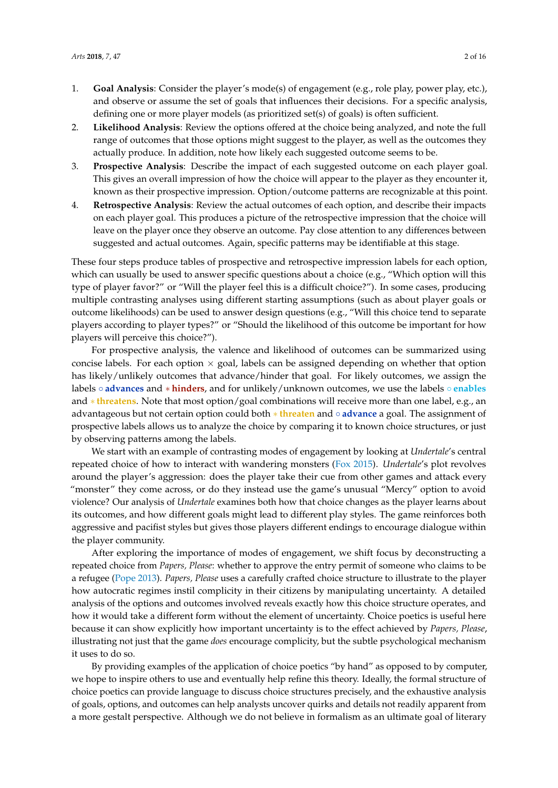- 1. **Goal Analysis**: Consider the player's mode(s) of engagement (e.g., role play, power play, etc.), and observe or assume the set of goals that influences their decisions. For a specific analysis, defining one or more player models (as prioritized set(s) of goals) is often sufficient.
- 2. **Likelihood Analysis**: Review the options offered at the choice being analyzed, and note the full range of outcomes that those options might suggest to the player, as well as the outcomes they actually produce. In addition, note how likely each suggested outcome seems to be.
- 3. **Prospective Analysis**: Describe the impact of each suggested outcome on each player goal. This gives an overall impression of how the choice will appear to the player as they encounter it, known as their prospective impression. Option/outcome patterns are recognizable at this point.
- <span id="page-1-0"></span>4. **Retrospective Analysis**: Review the actual outcomes of each option, and describe their impacts on each player goal. This produces a picture of the retrospective impression that the choice will leave on the player once they observe an outcome. Pay close attention to any differences between suggested and actual outcomes. Again, specific patterns may be identifiable at this stage.

These four steps produce tables of prospective and retrospective impression labels for each option, which can usually be used to answer specific questions about a choice (e.g., "Which option will this type of player favor?" or "Will the player feel this is a difficult choice?"). In some cases, producing multiple contrasting analyses using different starting assumptions (such as about player goals or outcome likelihoods) can be used to answer design questions (e.g., "Will this choice tend to separate players according to player types?" or "Should the likelihood of this outcome be important for how players will perceive this choice?").

For prospective analysis, the valence and likelihood of outcomes can be summarized using concise labels. For each option  $\times$  goal, labels can be assigned depending on whether that option has likely/unlikely outcomes that advance/hinder that goal. For likely outcomes, we assign the labels ◦ **advances** and ∗ **hinders**, and for unlikely/unknown outcomes, we use the labels ◦ **enables** and ∗ **threatens**. Note that most option/goal combinations will receive more than one label, e.g., an advantageous but not certain option could both ∗ **threaten** and ◦ **advance** a goal. The assignment of prospective labels allows us to analyze the choice by comparing it to known choice structures, or just by observing patterns among the labels.

We start with an example of contrasting modes of engagement by looking at *Undertale*'s central repeated choice of how to interact with wandering monsters [\(Fox](#page-14-1) [2015\)](#page-14-1). *Undertale*'s plot revolves around the player's aggression: does the player take their cue from other games and attack every "monster" they come across, or do they instead use the game's unusual "Mercy" option to avoid violence? Our analysis of *Undertale* examines both how that choice changes as the player learns about its outcomes, and how different goals might lead to different play styles. The game reinforces both aggressive and pacifist styles but gives those players different endings to encourage dialogue within the player community.

After exploring the importance of modes of engagement, we shift focus by deconstructing a repeated choice from *Papers, Please*: whether to approve the entry permit of someone who claims to be a refugee [\(Pope](#page-15-3) [2013\)](#page-15-3). *Papers, Please* uses a carefully crafted choice structure to illustrate to the player how autocratic regimes instil complicity in their citizens by manipulating uncertainty. A detailed analysis of the options and outcomes involved reveals exactly how this choice structure operates, and how it would take a different form without the element of uncertainty. Choice poetics is useful here because it can show explicitly how important uncertainty is to the effect achieved by *Papers, Please*, illustrating not just that the game *does* encourage complicity, but the subtle psychological mechanism it uses to do so.

By providing examples of the application of choice poetics "by hand" as opposed to by computer, we hope to inspire others to use and eventually help refine this theory. Ideally, the formal structure of choice poetics can provide language to discuss choice structures precisely, and the exhaustive analysis of goals, options, and outcomes can help analysts uncover quirks and details not readily apparent from a more gestalt perspective. Although we do not believe in formalism as an ultimate goal of literary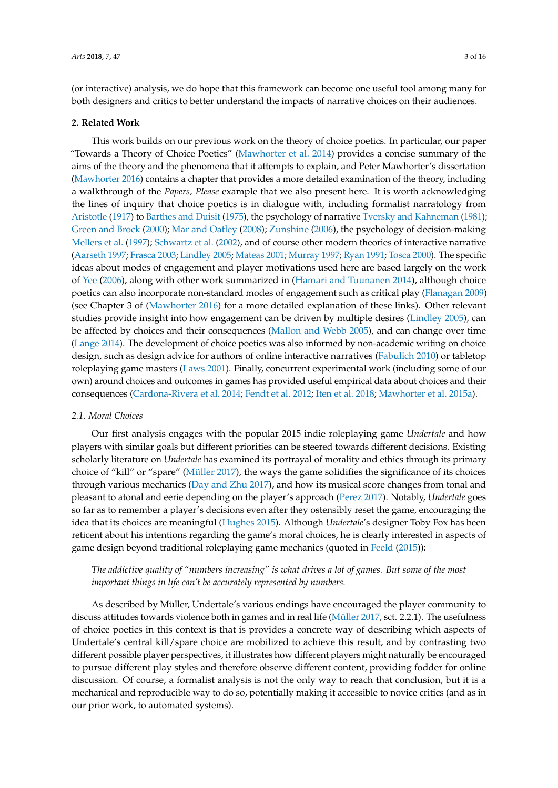(or interactive) analysis, we do hope that this framework can become one useful tool among many for both designers and critics to better understand the impacts of narrative choices on their audiences.

# **2. Related Work**

This work builds on our previous work on the theory of choice poetics. In particular, our paper "Towards a Theory of Choice Poetics" [\(Mawhorter et al.](#page-15-0) [2014\)](#page-15-0) provides a concise summary of the aims of the theory and the phenomena that it attempts to explain, and Peter Mawhorter's dissertation [\(Mawhorter](#page-14-0) [2016\)](#page-14-0) contains a chapter that provides a more detailed examination of the theory, including a walkthrough of the *Papers, Please* example that we also present here. It is worth acknowledging the lines of inquiry that choice poetics is in dialogue with, including formalist narratology from [Aristotle](#page-13-0) [\(1917\)](#page-13-0) to [Barthes and Duisit](#page-13-1) [\(1975\)](#page-13-1), the psychology of narrative [Tversky and Kahneman](#page-15-4) [\(1981\)](#page-15-4); [Green and Brock](#page-14-2) [\(2000\)](#page-14-2); [Mar and Oatley](#page-14-3) [\(2008\)](#page-14-3); [Zunshine](#page-15-5) [\(2006\)](#page-15-5), the psychology of decision-making [Mellers et al.](#page-15-6) [\(1997\)](#page-15-6); [Schwartz et al.](#page-15-7) [\(2002\)](#page-15-7), and of course other modern theories of interactive narrative [\(Aarseth](#page-13-2) [1997;](#page-13-2) [Frasca](#page-14-4) [2003;](#page-14-4) [Lindley](#page-14-5) [2005;](#page-14-5) [Mateas](#page-14-6) [2001;](#page-14-6) [Murray](#page-15-8) [1997;](#page-15-8) [Ryan](#page-15-9) [1991;](#page-15-9) [Tosca](#page-15-10) [2000\)](#page-15-10). The specific ideas about modes of engagement and player motivations used here are based largely on the work of [Yee](#page-15-11) [\(2006\)](#page-15-11), along with other work summarized in [\(Hamari and Tuunanen](#page-14-7) [2014\)](#page-14-7), although choice poetics can also incorporate non-standard modes of engagement such as critical play [\(Flanagan](#page-14-8) [2009\)](#page-14-8) (see Chapter 3 of [\(Mawhorter](#page-14-0) [2016\)](#page-14-0) for a more detailed explanation of these links). Other relevant studies provide insight into how engagement can be driven by multiple desires [\(Lindley](#page-14-5) [2005\)](#page-14-5), can be affected by choices and their consequences [\(Mallon and Webb](#page-14-9) [2005\)](#page-14-9), and can change over time [\(Lange](#page-14-10) [2014\)](#page-14-10). The development of choice poetics was also informed by non-academic writing on choice design, such as design advice for authors of online interactive narratives [\(Fabulich](#page-14-11) [2010\)](#page-14-11) or tabletop roleplaying game masters [\(Laws](#page-14-12) [2001\)](#page-14-12). Finally, concurrent experimental work (including some of our own) around choices and outcomes in games has provided useful empirical data about choices and their consequences [\(Cardona-Rivera et al.](#page-13-3) [2014;](#page-13-3) [Fendt et al.](#page-14-13) [2012;](#page-14-13) [Iten et al.](#page-14-14) [2018;](#page-14-14) [Mawhorter et al.](#page-15-1) [2015a\)](#page-15-1).

## *2.1. Moral Choices*

Our first analysis engages with the popular 2015 indie roleplaying game *Undertale* and how players with similar goals but different priorities can be steered towards different decisions. Existing scholarly literature on *Undertale* has examined its portrayal of morality and ethics through its primary choice of "kill" or "spare" [\(Müller](#page-15-12) [2017\)](#page-15-12), the ways the game solidifies the significance of its choices through various mechanics [\(Day and Zhu](#page-14-15) [2017\)](#page-14-15), and how its musical score changes from tonal and pleasant to atonal and eerie depending on the player's approach [\(Perez](#page-15-13) [2017\)](#page-15-13). Notably, *Undertale* goes so far as to remember a player's decisions even after they ostensibly reset the game, encouraging the idea that its choices are meaningful [\(Hughes](#page-14-16) [2015\)](#page-14-16). Although *Undertale*'s designer Toby Fox has been reticent about his intentions regarding the game's moral choices, he is clearly interested in aspects of game design beyond traditional roleplaying game mechanics (quoted in [Feeld](#page-14-17) [\(2015\)](#page-14-17)):

# *The addictive quality of "numbers increasing" is what drives a lot of games. But some of the most important things in life can't be accurately represented by numbers.*

As described by Müller, Undertale's various endings have encouraged the player community to discuss attitudes towards violence both in games and in real life [\(Müller](#page-15-12) [2017,](#page-15-12) sct. 2.2.1). The usefulness of choice poetics in this context is that is provides a concrete way of describing which aspects of Undertale's central kill/spare choice are mobilized to achieve this result, and by contrasting two different possible player perspectives, it illustrates how different players might naturally be encouraged to pursue different play styles and therefore observe different content, providing fodder for online discussion. Of course, a formalist analysis is not the only way to reach that conclusion, but it is a mechanical and reproducible way to do so, potentially making it accessible to novice critics (and as in our prior work, to automated systems).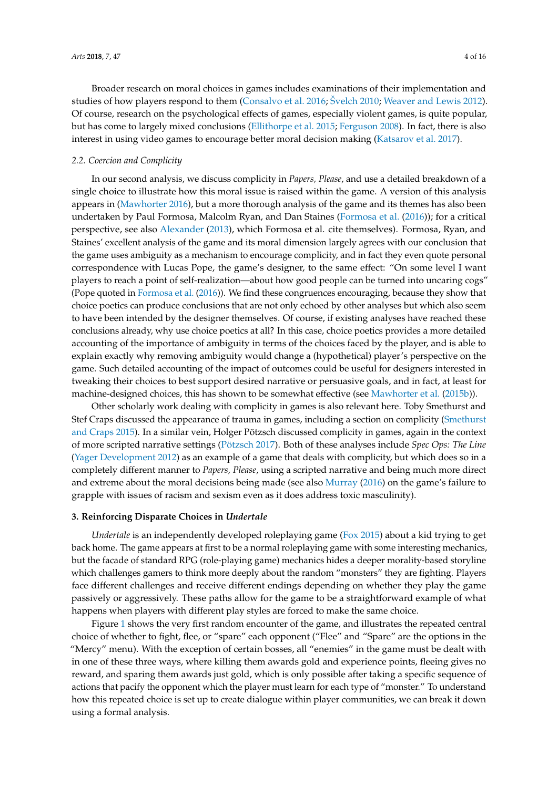Broader research on moral choices in games includes examinations of their implementation and studies of how players respond to them [\(Consalvo et al.](#page-13-4) [2016;](#page-13-4) [Švelch](#page-15-14) [2010;](#page-15-14) [Weaver and Lewis](#page-15-15) [2012\)](#page-15-15). Of course, research on the psychological effects of games, especially violent games, is quite popular, but has come to largely mixed conclusions [\(Ellithorpe et al.](#page-14-18) [2015;](#page-14-18) [Ferguson](#page-14-19) [2008\)](#page-14-19). In fact, there is also interest in using video games to encourage better moral decision making [\(Katsarov et al.](#page-14-20) [2017\)](#page-14-20).

## *2.2. Coercion and Complicity*

In our second analysis, we discuss complicity in *Papers, Please*, and use a detailed breakdown of a single choice to illustrate how this moral issue is raised within the game. A version of this analysis appears in [\(Mawhorter](#page-14-0) [2016\)](#page-14-0), but a more thorough analysis of the game and its themes has also been undertaken by Paul Formosa, Malcolm Ryan, and Dan Staines [\(Formosa et al.](#page-14-21) [\(2016\)](#page-14-21)); for a critical perspective, see also [Alexander](#page-13-5) [\(2013\)](#page-13-5), which Formosa et al. cite themselves). Formosa, Ryan, and Staines' excellent analysis of the game and its moral dimension largely agrees with our conclusion that the game uses ambiguity as a mechanism to encourage complicity, and in fact they even quote personal correspondence with Lucas Pope, the game's designer, to the same effect: "On some level I want players to reach a point of self-realization—about how good people can be turned into uncaring cogs" (Pope quoted in [Formosa et al.](#page-14-21) [\(2016\)](#page-14-21)). We find these congruences encouraging, because they show that choice poetics can produce conclusions that are not only echoed by other analyses but which also seem to have been intended by the designer themselves. Of course, if existing analyses have reached these conclusions already, why use choice poetics at all? In this case, choice poetics provides a more detailed accounting of the importance of ambiguity in terms of the choices faced by the player, and is able to explain exactly why removing ambiguity would change a (hypothetical) player's perspective on the game. Such detailed accounting of the impact of outcomes could be useful for designers interested in tweaking their choices to best support desired narrative or persuasive goals, and in fact, at least for machine-designed choices, this has shown to be somewhat effective (see [Mawhorter et al.](#page-15-2) [\(2015b\)](#page-15-2)).

Other scholarly work dealing with complicity in games is also relevant here. Toby Smethurst and Stef Craps discussed the appearance of trauma in games, including a section on complicity [\(Smethurst](#page-15-16) [and Craps](#page-15-16) [2015\)](#page-15-16). In a similar vein, Holger Pötzsch discussed complicity in games, again in the context of more scripted narrative settings [\(Pötzsch](#page-15-17) [2017\)](#page-15-17). Both of these analyses include *Spec Ops: The Line* [\(Yager Development](#page-15-18) [2012\)](#page-15-18) as an example of a game that deals with complicity, but which does so in a completely different manner to *Papers, Please*, using a scripted narrative and being much more direct and extreme about the moral decisions being made (see also [Murray](#page-15-19) [\(2016\)](#page-15-19) on the game's failure to grapple with issues of racism and sexism even as it does address toxic masculinity).

## **3. Reinforcing Disparate Choices in** *Undertale*

*Undertale* is an independently developed roleplaying game [\(Fox](#page-14-1) [2015\)](#page-14-1) about a kid trying to get back home. The game appears at first to be a normal roleplaying game with some interesting mechanics, but the facade of standard RPG (role-playing game) mechanics hides a deeper morality-based storyline which challenges gamers to think more deeply about the random "monsters" they are fighting. Players face different challenges and receive different endings depending on whether they play the game passively or aggressively. These paths allow for the game to be a straightforward example of what happens when players with different play styles are forced to make the same choice.

Figure [1](#page-4-0) shows the very first random encounter of the game, and illustrates the repeated central choice of whether to fight, flee, or "spare" each opponent ("Flee" and "Spare" are the options in the "Mercy" menu). With the exception of certain bosses, all "enemies" in the game must be dealt with in one of these three ways, where killing them awards gold and experience points, fleeing gives no reward, and sparing them awards just gold, which is only possible after taking a specific sequence of actions that pacify the opponent which the player must learn for each type of "monster." To understand how this repeated choice is set up to create dialogue within player communities, we can break it down using a formal analysis.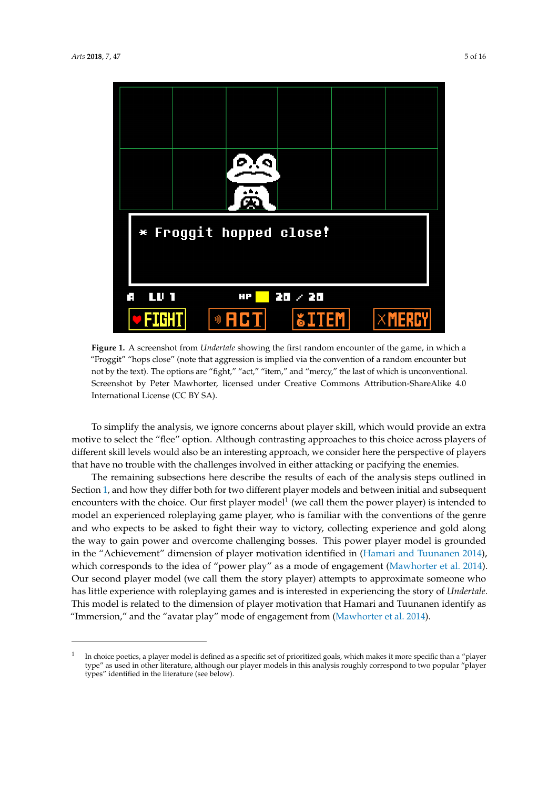<span id="page-4-0"></span>

**Figure 1.** A screenshot from *Undertale* showing the first random encounter of the game, in which a "Froggit" "hops close" (note that aggression is implied via the convention of a random encounter but not by the text). The options are "fight," "act," "item," and "mercy," the last of which is unconventional. Screenshot by Peter Mawhorter, licensed under Creative Commons Attribution-ShareAlike 4.0 International License (CC BY SA).

To simplify the analysis, we ignore concerns about player skill, which would provide an extra motive to select the "flee" option. Although contrasting approaches to this choice across players of different skill levels would also be an interesting approach, we consider here the perspective of players that have no trouble with the challenges involved in either attacking or pacifying the enemies.

The remaining subsections here describe the results of each of the analysis steps outlined in Section [1,](#page-0-0) and how they differ both for two different player models and between initial and subsequent encounters with the choice. Our first player model<sup>1</sup> (we call them the power player) is intended to model an experienced roleplaying game player, who is familiar with the conventions of the genre and who expects to be asked to fight their way to victory, collecting experience and gold along the way to gain power and overcome challenging bosses. This power player model is grounded in the "Achievement" dimension of player motivation identified in [\(Hamari and Tuunanen](#page-14-7) [2014\)](#page-14-7), which corresponds to the idea of "power play" as a mode of engagement [\(Mawhorter et al.](#page-15-0) [2014\)](#page-15-0). Our second player model (we call them the story player) attempts to approximate someone who has little experience with roleplaying games and is interested in experiencing the story of *Undertale*. This model is related to the dimension of player motivation that Hamari and Tuunanen identify as "Immersion," and the "avatar play" mode of engagement from [\(Mawhorter et al.](#page-15-0) [2014\)](#page-15-0).

<sup>1</sup> In choice poetics, a player model is defined as a specific set of prioritized goals, which makes it more specific than a "player type" as used in other literature, although our player models in this analysis roughly correspond to two popular "player types" identified in the literature (see below).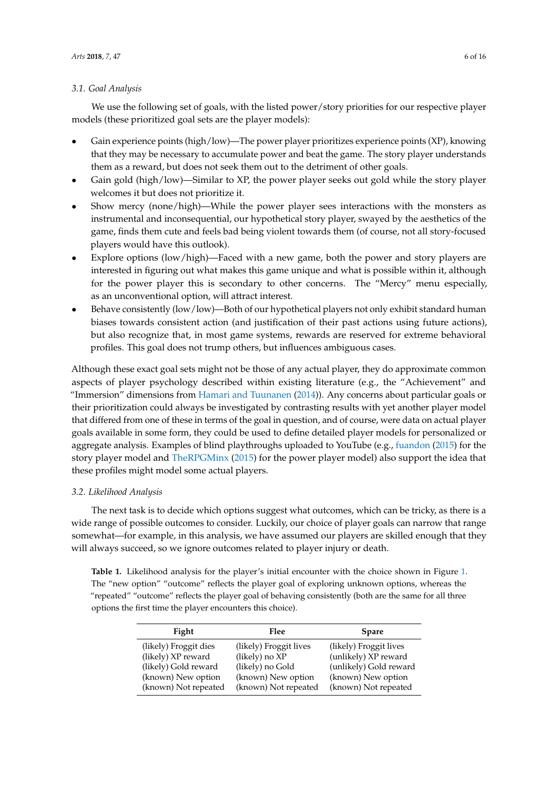# *3.1. Goal Analysis*

We use the following set of goals, with the listed power/story priorities for our respective player models (these prioritized goal sets are the player models):

- Gain experience points (high/low)—The power player prioritizes experience points (XP), knowing that they may be necessary to accumulate power and beat the game. The story player understands them as a reward, but does not seek them out to the detriment of other goals.
- Gain gold (high/low)—Similar to XP, the power player seeks out gold while the story player welcomes it but does not prioritize it.
- Show mercy (none/high)—While the power player sees interactions with the monsters as instrumental and inconsequential, our hypothetical story player, swayed by the aesthetics of the game, finds them cute and feels bad being violent towards them (of course, not all story-focused players would have this outlook).
- Explore options (low/high)—Faced with a new game, both the power and story players are interested in figuring out what makes this game unique and what is possible within it, although for the power player this is secondary to other concerns. The "Mercy" menu especially, as an unconventional option, will attract interest.
- Behave consistently (low/low)—Both of our hypothetical players not only exhibit standard human biases towards consistent action (and justification of their past actions using future actions), but also recognize that, in most game systems, rewards are reserved for extreme behavioral profiles. This goal does not trump others, but influences ambiguous cases.

Although these exact goal sets might not be those of any actual player, they do approximate common aspects of player psychology described within existing literature (e.g., the "Achievement" and "Immersion" dimensions from [Hamari and Tuunanen](#page-14-7) [\(2014\)](#page-14-7)). Any concerns about particular goals or their prioritization could always be investigated by contrasting results with yet another player model that differed from one of these in terms of the goal in question, and of course, were data on actual player goals available in some form, they could be used to define detailed player models for personalized or aggregate analysis. Examples of blind playthroughs uploaded to YouTube (e.g., [fuandon](#page-14-22) [\(2015\)](#page-14-22) for the story player model and [TheRPGMinx](#page-15-20) [\(2015\)](#page-15-20) for the power player model) also support the idea that these profiles might model some actual players.

# *3.2. Likelihood Analysis*

The next task is to decide which options suggest what outcomes, which can be tricky, as there is a wide range of possible outcomes to consider. Luckily, our choice of player goals can narrow that range somewhat—for example, in this analysis, we have assumed our players are skilled enough that they will always succeed, so we ignore outcomes related to player injury or death.

<span id="page-5-0"></span>**Table 1.** Likelihood analysis for the player's initial encounter with the choice shown in Figure [1.](#page-4-0) The "new option" "outcome" reflects the player goal of exploring unknown options, whereas the "repeated" "outcome" reflects the player goal of behaving consistently (both are the same for all three options the first time the player encounters this choice).

| Fight                 | Flee                   | <b>Spare</b>           |  |
|-----------------------|------------------------|------------------------|--|
| (likely) Froggit dies | (likely) Froggit lives | (likely) Froggit lives |  |
| (likely) XP reward    | (likely) no XP         | (unlikely) XP reward   |  |
| (likely) Gold reward  | (likely) no Gold       | (unlikely) Gold reward |  |
| (known) New option    | (known) New option     | (known) New option     |  |
| (known) Not repeated  | (known) Not repeated   | (known) Not repeated   |  |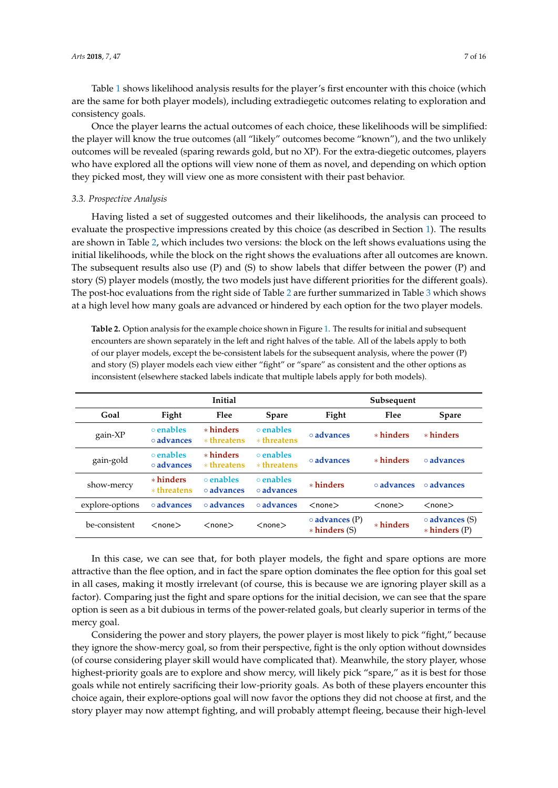Table [1](#page-5-0) shows likelihood analysis results for the player's first encounter with this choice (which are the same for both player models), including extradiegetic outcomes relating to exploration and consistency goals.

Once the player learns the actual outcomes of each choice, these likelihoods will be simplified: the player will know the true outcomes (all "likely" outcomes become "known"), and the two unlikely outcomes will be revealed (sparing rewards gold, but no XP). For the extra-diegetic outcomes, players who have explored all the options will view none of them as novel, and depending on which option they picked most, they will view one as more consistent with their past behavior.

# *3.3. Prospective Analysis*

Having listed a set of suggested outcomes and their likelihoods, the analysis can proceed to evaluate the prospective impressions created by this choice (as described in Section [1\)](#page-1-0). The results are shown in Table [2,](#page-6-0) which includes two versions: the block on the left shows evaluations using the initial likelihoods, while the block on the right shows the evaluations after all outcomes are known. The subsequent results also use (P) and (S) to show labels that differ between the power (P) and story (S) player models (mostly, the two models just have different priorities for the different goals). The post-hoc evaluations from the right side of Table [2](#page-6-0) are further summarized in Table [3](#page-8-0) which shows at a high level how many goals are advanced or hindered by each option for the two player models.

<span id="page-6-0"></span>**Table 2.** Option analysis for the example choice shown in Figure [1.](#page-4-0) The results for initial and subsequent encounters are shown separately in the left and right halves of the table. All of the labels apply to both of our player models, except the be-consistent labels for the subsequent analysis, where the power (P) and story (S) player models each view either "fight" or "spare" as consistent and the other options as inconsistent (elsewhere stacked labels indicate that multiple labels apply for both models).

| Initial         |                                   |                              | Subsequent                 |                                             |              |                                           |
|-----------------|-----------------------------------|------------------------------|----------------------------|---------------------------------------------|--------------|-------------------------------------------|
| Goal            | Fight                             | Flee                         | <b>Spare</b>               | Fight                                       | Flee         | <b>Spare</b>                              |
| gain-XP         | o enables<br>o advances           | $*$ hinders<br>$*$ threatens | o enables<br>$*$ threatens | o advances                                  | $*$ hinders  | $*$ hinders                               |
| gain-gold       | o enables<br>o advances           | $*$ hinders<br>$*$ threatens | o enables<br>$*$ threatens | o advances                                  | $*$ hinders  | o advances                                |
| show-mercy      | $*$ hinders<br><b>*</b> threatens | o enables<br>o advances      | o enables<br>o advances    | $*$ hinders                                 | o advances   | o advances                                |
| explore-options | $\circ$ advances                  | $\circ$ advances             | $\circ$ advances           | $<$ none $>$                                | $<$ none $>$ | $<$ none $>$                              |
| be-consistent   | $<$ none $>$                      | $<$ none $>$                 | $<$ none $>$               | $\circ$ advances $(P)$<br>$*$ hinders $(S)$ | $*$ hinders  | $\circ$ advances (S)<br>$*$ hinders $(P)$ |

In this case, we can see that, for both player models, the fight and spare options are more attractive than the flee option, and in fact the spare option dominates the flee option for this goal set in all cases, making it mostly irrelevant (of course, this is because we are ignoring player skill as a factor). Comparing just the fight and spare options for the initial decision, we can see that the spare option is seen as a bit dubious in terms of the power-related goals, but clearly superior in terms of the mercy goal.

Considering the power and story players, the power player is most likely to pick "fight," because they ignore the show-mercy goal, so from their perspective, fight is the only option without downsides (of course considering player skill would have complicated that). Meanwhile, the story player, whose highest-priority goals are to explore and show mercy, will likely pick "spare," as it is best for those goals while not entirely sacrificing their low-priority goals. As both of these players encounter this choice again, their explore-options goal will now favor the options they did not choose at first, and the story player may now attempt fighting, and will probably attempt fleeing, because their high-level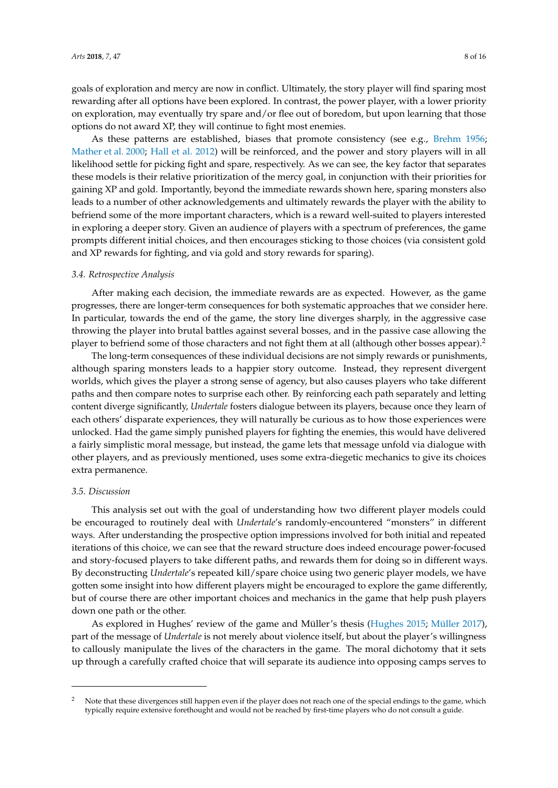goals of exploration and mercy are now in conflict. Ultimately, the story player will find sparing most rewarding after all options have been explored. In contrast, the power player, with a lower priority on exploration, may eventually try spare and/or flee out of boredom, but upon learning that those options do not award XP, they will continue to fight most enemies.

As these patterns are established, biases that promote consistency (see e.g., [Brehm](#page-13-6) [1956;](#page-13-6) [Mather et al.](#page-14-23) [2000;](#page-14-23) [Hall et al.](#page-14-24) [2012\)](#page-14-24) will be reinforced, and the power and story players will in all likelihood settle for picking fight and spare, respectively. As we can see, the key factor that separates these models is their relative prioritization of the mercy goal, in conjunction with their priorities for gaining XP and gold. Importantly, beyond the immediate rewards shown here, sparing monsters also leads to a number of other acknowledgements and ultimately rewards the player with the ability to befriend some of the more important characters, which is a reward well-suited to players interested in exploring a deeper story. Given an audience of players with a spectrum of preferences, the game prompts different initial choices, and then encourages sticking to those choices (via consistent gold and XP rewards for fighting, and via gold and story rewards for sparing).

#### *3.4. Retrospective Analysis*

After making each decision, the immediate rewards are as expected. However, as the game progresses, there are longer-term consequences for both systematic approaches that we consider here. In particular, towards the end of the game, the story line diverges sharply, in the aggressive case throwing the player into brutal battles against several bosses, and in the passive case allowing the player to befriend some of those characters and not fight them at all (although other bosses appear).<sup>2</sup>

The long-term consequences of these individual decisions are not simply rewards or punishments, although sparing monsters leads to a happier story outcome. Instead, they represent divergent worlds, which gives the player a strong sense of agency, but also causes players who take different paths and then compare notes to surprise each other. By reinforcing each path separately and letting content diverge significantly, *Undertale* fosters dialogue between its players, because once they learn of each others' disparate experiences, they will naturally be curious as to how those experiences were unlocked. Had the game simply punished players for fighting the enemies, this would have delivered a fairly simplistic moral message, but instead, the game lets that message unfold via dialogue with other players, and as previously mentioned, uses some extra-diegetic mechanics to give its choices extra permanence.

#### *3.5. Discussion*

This analysis set out with the goal of understanding how two different player models could be encouraged to routinely deal with *Undertale*'s randomly-encountered "monsters" in different ways. After understanding the prospective option impressions involved for both initial and repeated iterations of this choice, we can see that the reward structure does indeed encourage power-focused and story-focused players to take different paths, and rewards them for doing so in different ways. By deconstructing *Undertale*'s repeated kill/spare choice using two generic player models, we have gotten some insight into how different players might be encouraged to explore the game differently, but of course there are other important choices and mechanics in the game that help push players down one path or the other.

As explored in Hughes' review of the game and Müller's thesis [\(Hughes](#page-14-16) [2015;](#page-14-16) [Müller](#page-15-12) [2017\)](#page-15-12), part of the message of *Undertale* is not merely about violence itself, but about the player's willingness to callously manipulate the lives of the characters in the game. The moral dichotomy that it sets up through a carefully crafted choice that will separate its audience into opposing camps serves to

<sup>&</sup>lt;sup>2</sup> Note that these divergences still happen even if the player does not reach one of the special endings to the game, which typically require extensive forethought and would not be reached by first-time players who do not consult a guide.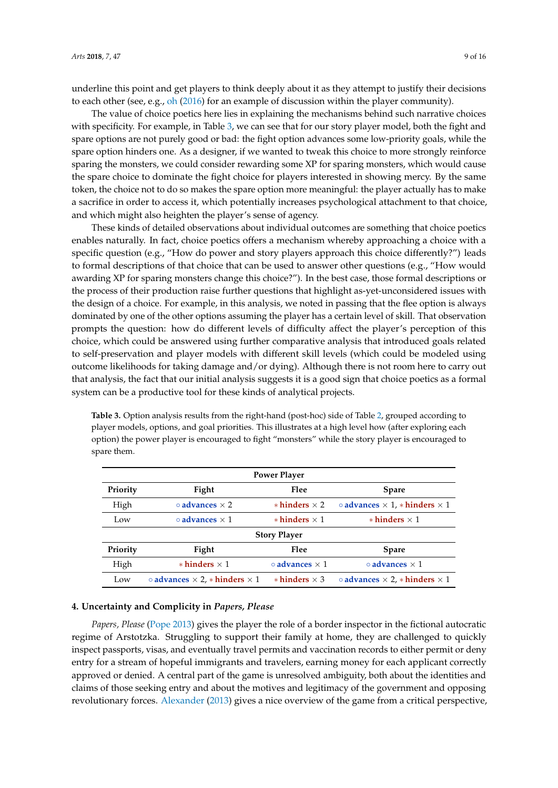underline this point and get players to think deeply about it as they attempt to justify their decisions to each other (see, e.g., [oh](#page-15-21) [\(2016\)](#page-15-21) for an example of discussion within the player community).

The value of choice poetics here lies in explaining the mechanisms behind such narrative choices with specificity. For example, in Table [3,](#page-8-0) we can see that for our story player model, both the fight and spare options are not purely good or bad: the fight option advances some low-priority goals, while the spare option hinders one. As a designer, if we wanted to tweak this choice to more strongly reinforce sparing the monsters, we could consider rewarding some XP for sparing monsters, which would cause the spare choice to dominate the fight choice for players interested in showing mercy. By the same token, the choice not to do so makes the spare option more meaningful: the player actually has to make a sacrifice in order to access it, which potentially increases psychological attachment to that choice, and which might also heighten the player's sense of agency.

These kinds of detailed observations about individual outcomes are something that choice poetics enables naturally. In fact, choice poetics offers a mechanism whereby approaching a choice with a specific question (e.g., "How do power and story players approach this choice differently?") leads to formal descriptions of that choice that can be used to answer other questions (e.g., "How would awarding XP for sparing monsters change this choice?"). In the best case, those formal descriptions or the process of their production raise further questions that highlight as-yet-unconsidered issues with the design of a choice. For example, in this analysis, we noted in passing that the flee option is always dominated by one of the other options assuming the player has a certain level of skill. That observation prompts the question: how do different levels of difficulty affect the player's perception of this choice, which could be answered using further comparative analysis that introduced goals related to self-preservation and player models with different skill levels (which could be modeled using outcome likelihoods for taking damage and/or dying). Although there is not room here to carry out that analysis, the fact that our initial analysis suggests it is a good sign that choice poetics as a formal system can be a productive tool for these kinds of analytical projects.

| <b>Power Player</b> |                                                     |                             |                                                     |  |
|---------------------|-----------------------------------------------------|-----------------------------|-----------------------------------------------------|--|
| Priority            | Fight                                               | Flee                        | <b>Spare</b>                                        |  |
| High                | $\circ$ advances $\times$ 2                         | $*$ hinders $\times$ 2      | $\circ$ advances $\times$ 1, $*$ hinders $\times$ 1 |  |
| Low                 | $\circ$ advances $\times$ 1                         | $*$ hinders $\times$ 1      | $*$ hinders $\times$ 1                              |  |
| <b>Story Player</b> |                                                     |                             |                                                     |  |
| Priority            | Fight                                               | Flee                        | <b>Spare</b>                                        |  |
| High                | $*$ hinders $\times$ 1                              | $\circ$ advances $\times$ 1 | $\circ$ advances $\times$ 1                         |  |
| Low                 | $\circ$ advances $\times$ 2, $*$ hinders $\times$ 1 | $*$ hinders $\times$ 3      | $\circ$ advances $\times$ 2, $*$ hinders $\times$ 1 |  |

<span id="page-8-0"></span>**Table 3.** Option analysis results from the right-hand (post-hoc) side of Table [2,](#page-6-0) grouped according to player models, options, and goal priorities. This illustrates at a high level how (after exploring each option) the power player is encouraged to fight "monsters" while the story player is encouraged to spare them.

# **4. Uncertainty and Complicity in** *Papers, Please*

*Papers, Please* [\(Pope](#page-15-3) [2013\)](#page-15-3) gives the player the role of a border inspector in the fictional autocratic regime of Arstotzka. Struggling to support their family at home, they are challenged to quickly inspect passports, visas, and eventually travel permits and vaccination records to either permit or deny entry for a stream of hopeful immigrants and travelers, earning money for each applicant correctly approved or denied. A central part of the game is unresolved ambiguity, both about the identities and claims of those seeking entry and about the motives and legitimacy of the government and opposing revolutionary forces. [Alexander](#page-13-5) [\(2013\)](#page-13-5) gives a nice overview of the game from a critical perspective,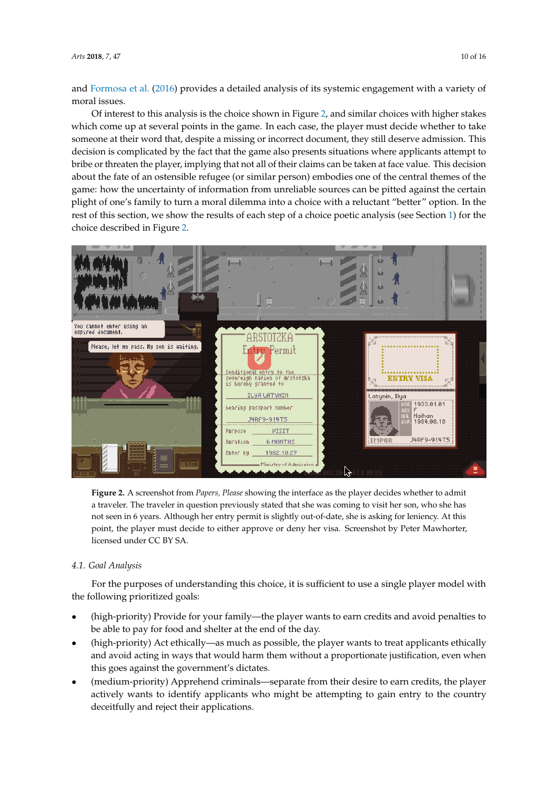and [Formosa et al.](#page-14-21) [\(2016\)](#page-14-21) provides a detailed analysis of its systemic engagement with a variety of moral issues.

Of interest to this analysis is the choice shown in Figure [2,](#page-9-0) and similar choices with higher stakes which come up at several points in the game. In each case, the player must decide whether to take someone at their word that, despite a missing or incorrect document, they still deserve admission. This decision is complicated by the fact that the game also presents situations where applicants attempt to bribe or threaten the player, implying that not all of their claims can be taken at face value. This decision about the fate of an ostensible refugee (or similar person) embodies one of the central themes of the game: how the uncertainty of information from unreliable sources can be pitted against the certain plight of one's family to turn a moral dilemma into a choice with a reluctant "better" option. In the rest of this section, we show the results of each step of a choice poetic analysis (see Section [1\)](#page-0-0) for the choice described in Figure [2.](#page-9-0)

<span id="page-9-0"></span>

**Figure 2.** A screenshot from *Papers, Please* showing the interface as the player decides whether to admit a traveler. The traveler in question previously stated that she was coming to visit her son, who she has not seen in 6 years. Although her entry permit is slightly out-of-date, she is asking for leniency. At this point, the player must decide to either approve or deny her visa. Screenshot by Peter Mawhorter, licensed under CC BY SA.

# *4.1. Goal Analysis*

For the purposes of understanding this choice, it is sufficient to use a single player model with the following prioritized goals:

- (high-priority) Provide for your family—the player wants to earn credits and avoid penalties to be able to pay for food and shelter at the end of the day.
- (high-priority) Act ethically—as much as possible, the player wants to treat applicants ethically and avoid acting in ways that would harm them without a proportionate justification, even when this goes against the government's dictates.
- (medium-priority) Apprehend criminals—separate from their desire to earn credits, the player actively wants to identify applicants who might be attempting to gain entry to the country deceitfully and reject their applications.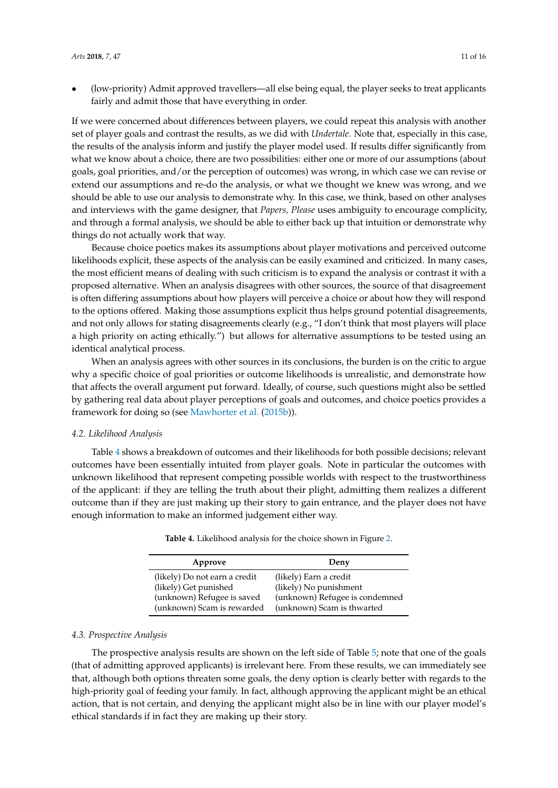• (low-priority) Admit approved travellers—all else being equal, the player seeks to treat applicants fairly and admit those that have everything in order.

If we were concerned about differences between players, we could repeat this analysis with another set of player goals and contrast the results, as we did with *Undertale*. Note that, especially in this case, the results of the analysis inform and justify the player model used. If results differ significantly from what we know about a choice, there are two possibilities: either one or more of our assumptions (about goals, goal priorities, and/or the perception of outcomes) was wrong, in which case we can revise or extend our assumptions and re-do the analysis, or what we thought we knew was wrong, and we should be able to use our analysis to demonstrate why. In this case, we think, based on other analyses and interviews with the game designer, that *Papers, Please* uses ambiguity to encourage complicity, and through a formal analysis, we should be able to either back up that intuition or demonstrate why things do not actually work that way.

Because choice poetics makes its assumptions about player motivations and perceived outcome likelihoods explicit, these aspects of the analysis can be easily examined and criticized. In many cases, the most efficient means of dealing with such criticism is to expand the analysis or contrast it with a proposed alternative. When an analysis disagrees with other sources, the source of that disagreement is often differing assumptions about how players will perceive a choice or about how they will respond to the options offered. Making those assumptions explicit thus helps ground potential disagreements, and not only allows for stating disagreements clearly (e.g., "I don't think that most players will place a high priority on acting ethically.") but allows for alternative assumptions to be tested using an identical analytical process.

When an analysis agrees with other sources in its conclusions, the burden is on the critic to argue why a specific choice of goal priorities or outcome likelihoods is unrealistic, and demonstrate how that affects the overall argument put forward. Ideally, of course, such questions might also be settled by gathering real data about player perceptions of goals and outcomes, and choice poetics provides a framework for doing so (see [Mawhorter et al.](#page-15-2) [\(2015b\)](#page-15-2)).

# *4.2. Likelihood Analysis*

<span id="page-10-0"></span>Table [4](#page-10-0) shows a breakdown of outcomes and their likelihoods for both possible decisions; relevant outcomes have been essentially intuited from player goals. Note in particular the outcomes with unknown likelihood that represent competing possible worlds with respect to the trustworthiness of the applicant: if they are telling the truth about their plight, admitting them realizes a different outcome than if they are just making up their story to gain entrance, and the player does not have enough information to make an informed judgement either way.

| Approve                       | Deny                           |  |  |
|-------------------------------|--------------------------------|--|--|
| (likely) Do not earn a credit | (likely) Earn a credit         |  |  |
| (likely) Get punished         | (likely) No punishment         |  |  |
| (unknown) Refugee is saved    | (unknown) Refugee is condemned |  |  |
| (unknown) Scam is rewarded    | (unknown) Scam is thwarted     |  |  |

**Table 4.** Likelihood analysis for the choice shown in Figure [2.](#page-9-0)

#### *4.3. Prospective Analysis*

The prospective analysis results are shown on the left side of Table [5;](#page-11-0) note that one of the goals (that of admitting approved applicants) is irrelevant here. From these results, we can immediately see that, although both options threaten some goals, the deny option is clearly better with regards to the high-priority goal of feeding your family. In fact, although approving the applicant might be an ethical action, that is not certain, and denying the applicant might also be in line with our player model's ethical standards if in fact they are making up their story.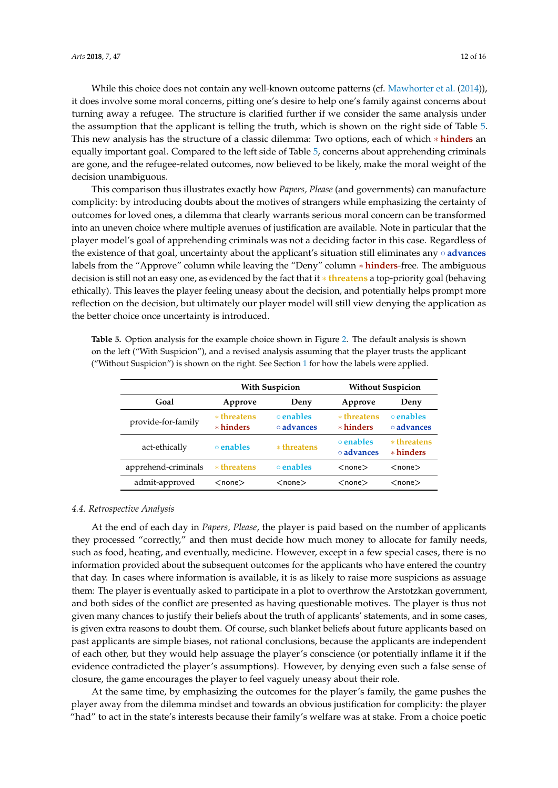While this choice does not contain any well-known outcome patterns (cf. [Mawhorter et al.](#page-15-0) [\(2014\)](#page-15-0)), it does involve some moral concerns, pitting one's desire to help one's family against concerns about turning away a refugee. The structure is clarified further if we consider the same analysis under the assumption that the applicant is telling the truth, which is shown on the right side of Table [5.](#page-11-0) This new analysis has the structure of a classic dilemma: Two options, each of which ∗ **hinders** an equally important goal. Compared to the left side of Table [5,](#page-11-0) concerns about apprehending criminals are gone, and the refugee-related outcomes, now believed to be likely, make the moral weight of the decision unambiguous.

This comparison thus illustrates exactly how *Papers, Please* (and governments) can manufacture complicity: by introducing doubts about the motives of strangers while emphasizing the certainty of outcomes for loved ones, a dilemma that clearly warrants serious moral concern can be transformed into an uneven choice where multiple avenues of justification are available. Note in particular that the player model's goal of apprehending criminals was not a deciding factor in this case. Regardless of the existence of that goal, uncertainty about the applicant's situation still eliminates any ◦ **advances** labels from the "Approve" column while leaving the "Deny" column ∗ **hinders**-free. The ambiguous decision is still not an easy one, as evidenced by the fact that it ∗ **threatens** a top-priority goal (behaving ethically). This leaves the player feeling uneasy about the decision, and potentially helps prompt more reflection on the decision, but ultimately our player model will still view denying the application as the better choice once uncertainty is introduced.

| on the left ("With Suspicion"), and a revised analysis assuming that the player trusts the applicant |  |
|------------------------------------------------------------------------------------------------------|--|
| ("Without Suspicion") is shown on the right. See Section 1 for how the labels were applied.          |  |
|                                                                                                      |  |

<span id="page-11-0"></span>**Table 5.** Option analysis for the example choice shown in Figure [2.](#page-9-0) The default analysis is shown

|                     | <b>With Suspicion</b>        |                         | <b>Without Suspicion</b>     |                              |  |
|---------------------|------------------------------|-------------------------|------------------------------|------------------------------|--|
| Goal                | Approve                      | Deny                    | Approve                      | Deny                         |  |
| provide-for-family  | $*$ threatens<br>$*$ hinders | o enables<br>o advances | $*$ threatens<br>$*$ hinders | o enables<br>o advances      |  |
| act-ethically       | o enables                    | * threatens             | o enables<br>o advances      | $*$ threatens<br>$*$ hinders |  |
| apprehend-criminals | <b>*</b> threatens           | o enables               | $<$ none $>$                 | $<$ none $>$                 |  |
| admit-approved      | $<$ none $>$                 | $<$ none $>$            | $<$ none $>$                 | $<$ none $>$                 |  |

#### *4.4. Retrospective Analysis*

At the end of each day in *Papers, Please*, the player is paid based on the number of applicants they processed "correctly," and then must decide how much money to allocate for family needs, such as food, heating, and eventually, medicine. However, except in a few special cases, there is no information provided about the subsequent outcomes for the applicants who have entered the country that day. In cases where information is available, it is as likely to raise more suspicions as assuage them: The player is eventually asked to participate in a plot to overthrow the Arstotzkan government, and both sides of the conflict are presented as having questionable motives. The player is thus not given many chances to justify their beliefs about the truth of applicants' statements, and in some cases, is given extra reasons to doubt them. Of course, such blanket beliefs about future applicants based on past applicants are simple biases, not rational conclusions, because the applicants are independent of each other, but they would help assuage the player's conscience (or potentially inflame it if the evidence contradicted the player's assumptions). However, by denying even such a false sense of closure, the game encourages the player to feel vaguely uneasy about their role.

At the same time, by emphasizing the outcomes for the player's family, the game pushes the player away from the dilemma mindset and towards an obvious justification for complicity: the player "had" to act in the state's interests because their family's welfare was at stake. From a choice poetic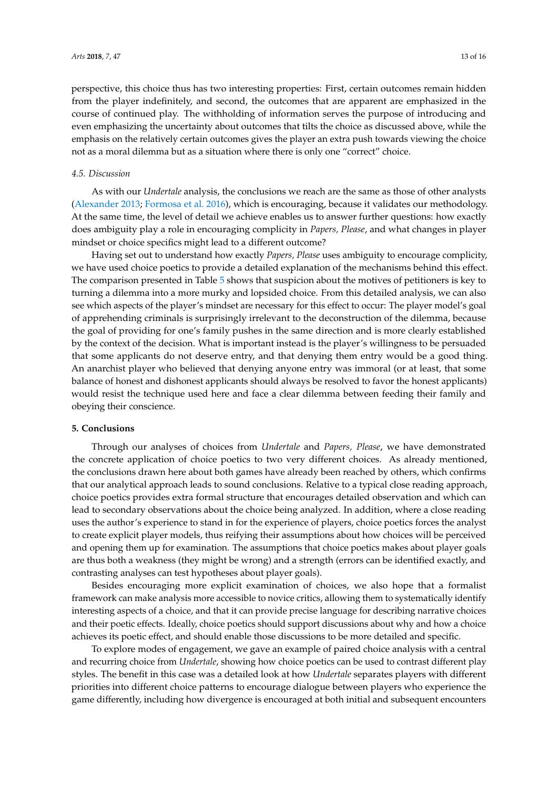perspective, this choice thus has two interesting properties: First, certain outcomes remain hidden from the player indefinitely, and second, the outcomes that are apparent are emphasized in the course of continued play. The withholding of information serves the purpose of introducing and even emphasizing the uncertainty about outcomes that tilts the choice as discussed above, while the emphasis on the relatively certain outcomes gives the player an extra push towards viewing the choice not as a moral dilemma but as a situation where there is only one "correct" choice.

## *4.5. Discussion*

As with our *Undertale* analysis, the conclusions we reach are the same as those of other analysts [\(Alexander](#page-13-5) [2013;](#page-13-5) [Formosa et al.](#page-14-21) [2016\)](#page-14-21), which is encouraging, because it validates our methodology. At the same time, the level of detail we achieve enables us to answer further questions: how exactly does ambiguity play a role in encouraging complicity in *Papers, Please*, and what changes in player mindset or choice specifics might lead to a different outcome?

Having set out to understand how exactly *Papers, Please* uses ambiguity to encourage complicity, we have used choice poetics to provide a detailed explanation of the mechanisms behind this effect. The comparison presented in Table [5](#page-11-0) shows that suspicion about the motives of petitioners is key to turning a dilemma into a more murky and lopsided choice. From this detailed analysis, we can also see which aspects of the player's mindset are necessary for this effect to occur: The player model's goal of apprehending criminals is surprisingly irrelevant to the deconstruction of the dilemma, because the goal of providing for one's family pushes in the same direction and is more clearly established by the context of the decision. What is important instead is the player's willingness to be persuaded that some applicants do not deserve entry, and that denying them entry would be a good thing. An anarchist player who believed that denying anyone entry was immoral (or at least, that some balance of honest and dishonest applicants should always be resolved to favor the honest applicants) would resist the technique used here and face a clear dilemma between feeding their family and obeying their conscience.

## **5. Conclusions**

Through our analyses of choices from *Undertale* and *Papers, Please*, we have demonstrated the concrete application of choice poetics to two very different choices. As already mentioned, the conclusions drawn here about both games have already been reached by others, which confirms that our analytical approach leads to sound conclusions. Relative to a typical close reading approach, choice poetics provides extra formal structure that encourages detailed observation and which can lead to secondary observations about the choice being analyzed. In addition, where a close reading uses the author's experience to stand in for the experience of players, choice poetics forces the analyst to create explicit player models, thus reifying their assumptions about how choices will be perceived and opening them up for examination. The assumptions that choice poetics makes about player goals are thus both a weakness (they might be wrong) and a strength (errors can be identified exactly, and contrasting analyses can test hypotheses about player goals).

Besides encouraging more explicit examination of choices, we also hope that a formalist framework can make analysis more accessible to novice critics, allowing them to systematically identify interesting aspects of a choice, and that it can provide precise language for describing narrative choices and their poetic effects. Ideally, choice poetics should support discussions about why and how a choice achieves its poetic effect, and should enable those discussions to be more detailed and specific.

To explore modes of engagement, we gave an example of paired choice analysis with a central and recurring choice from *Undertale*, showing how choice poetics can be used to contrast different play styles. The benefit in this case was a detailed look at how *Undertale* separates players with different priorities into different choice patterns to encourage dialogue between players who experience the game differently, including how divergence is encouraged at both initial and subsequent encounters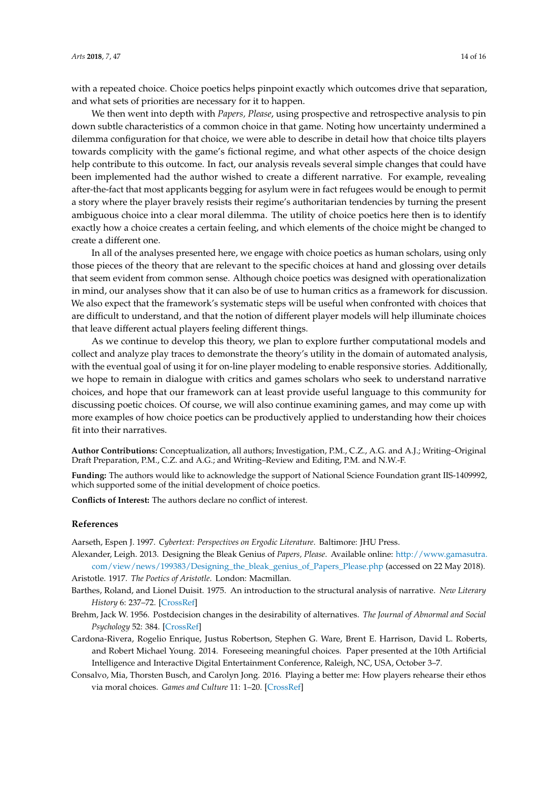with a repeated choice. Choice poetics helps pinpoint exactly which outcomes drive that separation, and what sets of priorities are necessary for it to happen.

We then went into depth with *Papers, Please*, using prospective and retrospective analysis to pin down subtle characteristics of a common choice in that game. Noting how uncertainty undermined a dilemma configuration for that choice, we were able to describe in detail how that choice tilts players towards complicity with the game's fictional regime, and what other aspects of the choice design help contribute to this outcome. In fact, our analysis reveals several simple changes that could have been implemented had the author wished to create a different narrative. For example, revealing after-the-fact that most applicants begging for asylum were in fact refugees would be enough to permit a story where the player bravely resists their regime's authoritarian tendencies by turning the present ambiguous choice into a clear moral dilemma. The utility of choice poetics here then is to identify exactly how a choice creates a certain feeling, and which elements of the choice might be changed to create a different one.

In all of the analyses presented here, we engage with choice poetics as human scholars, using only those pieces of the theory that are relevant to the specific choices at hand and glossing over details that seem evident from common sense. Although choice poetics was designed with operationalization in mind, our analyses show that it can also be of use to human critics as a framework for discussion. We also expect that the framework's systematic steps will be useful when confronted with choices that are difficult to understand, and that the notion of different player models will help illuminate choices that leave different actual players feeling different things.

As we continue to develop this theory, we plan to explore further computational models and collect and analyze play traces to demonstrate the theory's utility in the domain of automated analysis, with the eventual goal of using it for on-line player modeling to enable responsive stories. Additionally, we hope to remain in dialogue with critics and games scholars who seek to understand narrative choices, and hope that our framework can at least provide useful language to this community for discussing poetic choices. Of course, we will also continue examining games, and may come up with more examples of how choice poetics can be productively applied to understanding how their choices fit into their narratives.

**Author Contributions:** Conceptualization, all authors; Investigation, P.M., C.Z., A.G. and A.J.; Writing–Original Draft Preparation, P.M., C.Z. and A.G.; and Writing–Review and Editing, P.M. and N.W.-F.

**Funding:** The authors would like to acknowledge the support of National Science Foundation grant IIS-1409992, which supported some of the initial development of choice poetics.

**Conflicts of Interest:** The authors declare no conflict of interest.

#### **References**

<span id="page-13-5"></span><span id="page-13-2"></span>Aarseth, Espen J. 1997. *Cybertext: Perspectives on Ergodic Literature*. Baltimore: JHU Press.

Alexander, Leigh. 2013. Designing the Bleak Genius of *Papers, Please*. Available online: [http://www.gamasutra.](http://www.gamasutra.com/view/news/199383/Designing_the_bleak_genius_of_Papers_Please.php) [com/view/news/199383/Designing\\_the\\_bleak\\_genius\\_of\\_Papers\\_Please.php](http://www.gamasutra.com/view/news/199383/Designing_the_bleak_genius_of_Papers_Please.php) (accessed on 22 May 2018).

<span id="page-13-0"></span>Aristotle. 1917. *The Poetics of Aristotle*. London: Macmillan.

- <span id="page-13-1"></span>Barthes, Roland, and Lionel Duisit. 1975. An introduction to the structural analysis of narrative. *New Literary History* 6: 237–72. [\[CrossRef\]](http://dx.doi.org/10.2307/468419)
- <span id="page-13-6"></span>Brehm, Jack W. 1956. Postdecision changes in the desirability of alternatives. *The Journal of Abnormal and Social Psychology* 52: 384. [\[CrossRef\]](http://dx.doi.org/10.1037/h0041006)
- <span id="page-13-3"></span>Cardona-Rivera, Rogelio Enrique, Justus Robertson, Stephen G. Ware, Brent E. Harrison, David L. Roberts, and Robert Michael Young. 2014. Foreseeing meaningful choices. Paper presented at the 10th Artificial Intelligence and Interactive Digital Entertainment Conference, Raleigh, NC, USA, October 3–7.
- <span id="page-13-4"></span>Consalvo, Mia, Thorsten Busch, and Carolyn Jong. 2016. Playing a better me: How players rehearse their ethos via moral choices. *Games and Culture* 11: 1–20. [\[CrossRef\]](http://dx.doi.org/10.1177/1555412016677449)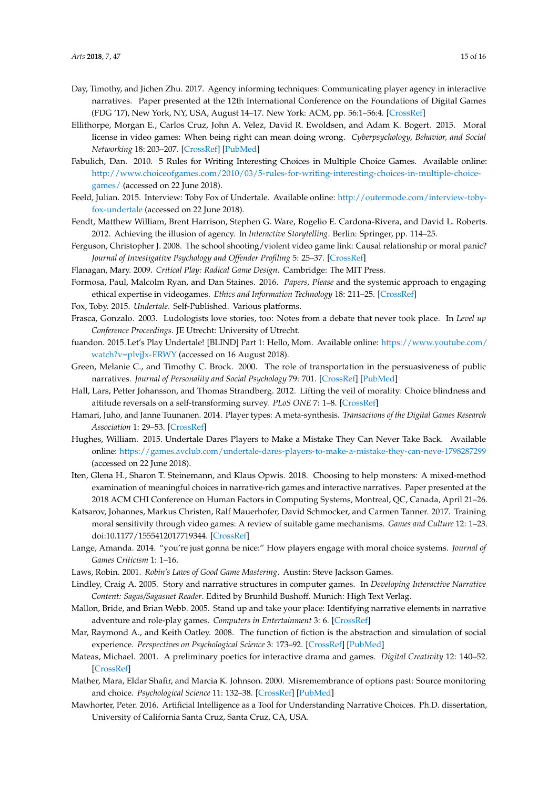- <span id="page-14-15"></span>Day, Timothy, and Jichen Zhu. 2017. Agency informing techniques: Communicating player agency in interactive narratives. Paper presented at the 12th International Conference on the Foundations of Digital Games (FDG '17), New York, NY, USA, August 14–17. New York: ACM, pp. 56:1–56:4. [\[CrossRef\]](http://dx.doi.org/10.1145/3102071.3106363)
- <span id="page-14-18"></span>Ellithorpe, Morgan E., Carlos Cruz, John A. Velez, David R. Ewoldsen, and Adam K. Bogert. 2015. Moral license in video games: When being right can mean doing wrong. *Cyberpsychology, Behavior, and Social Networking* 18: 203–207. [\[CrossRef\]](http://dx.doi.org/10.1089/cyber.2014.0599) [\[PubMed\]](http://www.ncbi.nlm.nih.gov/pubmed/25803312)
- <span id="page-14-11"></span>Fabulich, Dan. 2010. 5 Rules for Writing Interesting Choices in Multiple Choice Games. Available online: [http://www.choiceofgames.com/2010/03/5-rules-for-writing-interesting-choices-in-multiple-choice](http://www.choiceofgames.com/2010/03/5-rules-for-writing-interesting-choices-in-multiple-choice-games/)[games/](http://www.choiceofgames.com/2010/03/5-rules-for-writing-interesting-choices-in-multiple-choice-games/) (accessed on 22 June 2018).
- <span id="page-14-17"></span>Feeld, Julian. 2015. Interview: Toby Fox of Undertale. Available online: [http://outermode.com/interview-toby](http://outermode.com/interview-toby-fox-undertale)[fox-undertale](http://outermode.com/interview-toby-fox-undertale) (accessed on 22 June 2018).
- <span id="page-14-13"></span>Fendt, Matthew William, Brent Harrison, Stephen G. Ware, Rogelio E. Cardona-Rivera, and David L. Roberts. 2012. Achieving the illusion of agency. In *Interactive Storytelling*. Berlin: Springer, pp. 114–25.
- <span id="page-14-19"></span>Ferguson, Christopher J. 2008. The school shooting/violent video game link: Causal relationship or moral panic? *Journal of Investigative Psychology and Offender Profiling* 5: 25–37. [\[CrossRef\]](http://dx.doi.org/10.1002/jip.76)
- <span id="page-14-8"></span>Flanagan, Mary. 2009. *Critical Play: Radical Game Design*. Cambridge: The MIT Press.
- <span id="page-14-21"></span>Formosa, Paul, Malcolm Ryan, and Dan Staines. 2016. *Papers, Please* and the systemic approach to engaging ethical expertise in videogames. *Ethics and Information Technology* 18: 211–25. [\[CrossRef\]](http://dx.doi.org/10.1007/s10676-016-9407-z)
- <span id="page-14-4"></span><span id="page-14-1"></span>Fox, Toby. 2015. *Undertale*. Self-Published. Various platforms.
- Frasca, Gonzalo. 2003. Ludologists love stories, too: Notes from a debate that never took place. In *Level up Conference Proceedings*. JE Utrecht: University of Utrecht.
- <span id="page-14-22"></span>fuandon. 2015.Let's Play Undertale! [BLIND] Part 1: Hello, Mom. Available online: [https://www.youtube.com/](https://www.youtube.com/watch?v=plvjJx-ERWY) [watch?v=plvjJx-ERWY](https://www.youtube.com/watch?v=plvjJx-ERWY) (accessed on 16 August 2018).
- <span id="page-14-2"></span>Green, Melanie C., and Timothy C. Brock. 2000. The role of transportation in the persuasiveness of public narratives. *Journal of Personality and Social Psychology* 79: 701. [\[CrossRef\]](http://dx.doi.org/10.1037/0022-3514.79.5.701) [\[PubMed\]](http://www.ncbi.nlm.nih.gov/pubmed/11079236)
- <span id="page-14-24"></span>Hall, Lars, Petter Johansson, and Thomas Strandberg. 2012. Lifting the veil of morality: Choice blindness and attitude reversals on a self-transforming survey. *PLoS ONE* 7: 1–8. [\[CrossRef\]](http://dx.doi.org/10.1371/journal.pone.0045457)
- <span id="page-14-7"></span>Hamari, Juho, and Janne Tuunanen. 2014. Player types: A meta-synthesis. *Transactions of the Digital Games Research Association* 1: 29–53. [\[CrossRef\]](http://dx.doi.org/10.26503/todigra.v1i2.13)
- <span id="page-14-16"></span>Hughes, William. 2015. Undertale Dares Players to Make a Mistake They Can Never Take Back. Available online: <https://games.avclub.com/undertale-dares-players-to-make-a-mistake-they-can-neve-1798287299> (accessed on 22 June 2018).
- <span id="page-14-14"></span>Iten, Glena H., Sharon T. Steinemann, and Klaus Opwis. 2018. Choosing to help monsters: A mixed-method examination of meaningful choices in narrative-rich games and interactive narratives. Paper presented at the 2018 ACM CHI Conference on Human Factors in Computing Systems, Montreal, QC, Canada, April 21–26.
- <span id="page-14-20"></span>Katsarov, Johannes, Markus Christen, Ralf Mauerhofer, David Schmocker, and Carmen Tanner. 2017. Training moral sensitivity through video games: A review of suitable game mechanisms. *Games and Culture* 12: 1–23. doi[:10.1177/1555412017719344.](https://doi.org/10.1177/1555412017719344) [\[CrossRef\]](http://dx.doi.org/10.1177/1555412017719344)
- <span id="page-14-10"></span>Lange, Amanda. 2014. "you're just gonna be nice:" How players engage with moral choice systems. *Journal of Games Criticism* 1: 1–16.
- <span id="page-14-12"></span>Laws, Robin. 2001. *Robin's Laws of Good Game Mastering*. Austin: Steve Jackson Games.
- <span id="page-14-5"></span>Lindley, Craig A. 2005. Story and narrative structures in computer games. In *Developing Interactive Narrative Content: Sagas/Sagasnet Reader*. Edited by Brunhild Bushoff. Munich: High Text Verlag.
- <span id="page-14-9"></span>Mallon, Bride, and Brian Webb. 2005. Stand up and take your place: Identifying narrative elements in narrative adventure and role-play games. *Computers in Entertainment* 3: 6. [\[CrossRef\]](http://dx.doi.org/10.1145/1057270.1057285)
- <span id="page-14-3"></span>Mar, Raymond A., and Keith Oatley. 2008. The function of fiction is the abstraction and simulation of social experience. *Perspectives on Psychological Science* 3: 173–92. [\[CrossRef\]](http://dx.doi.org/10.1111/j.1745-6924.2008.00073.x) [\[PubMed\]](http://www.ncbi.nlm.nih.gov/pubmed/26158934)
- <span id="page-14-6"></span>Mateas, Michael. 2001. A preliminary poetics for interactive drama and games. *Digital Creativity* 12: 140–52. [\[CrossRef\]](http://dx.doi.org/10.1076/digc.12.3.140.3224)
- <span id="page-14-23"></span>Mather, Mara, Eldar Shafir, and Marcia K. Johnson. 2000. Misremembrance of options past: Source monitoring and choice. *Psychological Science* 11: 132–38. [\[CrossRef\]](http://dx.doi.org/10.1111/1467-9280.00228) [\[PubMed\]](http://www.ncbi.nlm.nih.gov/pubmed/11273420)
- <span id="page-14-0"></span>Mawhorter, Peter. 2016. Artificial Intelligence as a Tool for Understanding Narrative Choices. Ph.D. dissertation, University of California Santa Cruz, Santa Cruz, CA, USA.